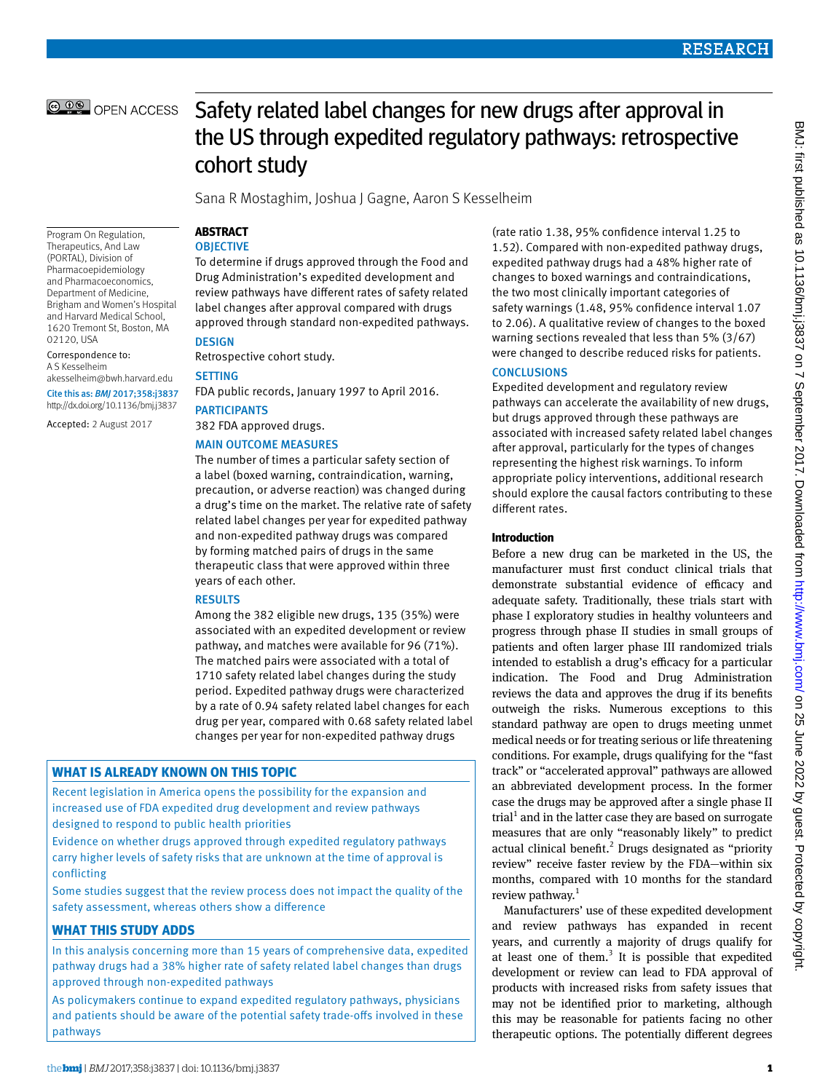

Program On Regulation, Therapeutics, And Law (PORTAL), Division of Pharmacoepidemiology and Pharmacoeconomics, Department of Medicine, Brigham and Women's Hospital and Harvard Medical School, 1620 Tremont St, Boston, MA

[akesselheim@bwh.harvard.edu](mailto:akesselheim@bwh.harvard.edu) Cite this as: *BMJ* 2017;358:j3837 http://dx.doi.org/10.1136/bmj.j3837 Accepted: 2 August 2017

02120, USA Correspondence to: A S Kesselheim

# Safety related label changes for new drugs after approval in the US through expedited regulatory pathways: retrospective cohort study

Sana R Mostaghim, Joshua J Gagne, Aaron S Kesselheim

# **ABSTRACT**

# **OBJECTIVE**

To determine if drugs approved through the Food and Drug Administration's expedited development and review pathways have different rates of safety related label changes after approval compared with drugs approved through standard non-expedited pathways. **DESIGN** 

Retrospective cohort study.

# SETTING

FDA public records, January 1997 to April 2016. PARTICIPANTS

382 FDA approved drugs.

## MAIN OUTCOME MEASURES

The number of times a particular safety section of a label (boxed warning, contraindication, warning, precaution, or adverse reaction) was changed during a drug's time on the market. The relative rate of safety related label changes per year for expedited pathway and non-expedited pathway drugs was compared by forming matched pairs of drugs in the same therapeutic class that were approved within three years of each other.

# RESULTS

Among the 382 eligible new drugs, 135 (35%) were associated with an expedited development or review pathway, and matches were available for 96 (71%). The matched pairs were associated with a total of 1710 safety related label changes during the study period. Expedited pathway drugs were characterized by a rate of 0.94 safety related label changes for each drug per year, compared with 0.68 safety related label changes per year for non-expedited pathway drugs

# **What is already known on this topic**

Recent legislation in America opens the possibility for the expansion and increased use of FDA expedited drug development and review pathways designed to respond to public health priorities

Evidence on whether drugs approved through expedited regulatory pathways carry higher levels of safety risks that are unknown at the time of approval is conflicting

Some studies suggest that the review process does not impact the quality of the safety assessment, whereas others show a difference

# **What this study adds**

In this analysis concerning more than 15 years of comprehensive data, expedited pathway drugs had a 38% higher rate of safety related label changes than drugs approved through non-expedited pathways

As policymakers continue to expand expedited regulatory pathways, physicians and patients should be aware of the potential safety trade-offs involved in these pathways

(rate ratio 1.38, 95% confidence interval 1.25 to 1.52). Compared with non-expedited pathway drugs, expedited pathway drugs had a 48% higher rate of changes to boxed warnings and contraindications, the two most clinically important categories of safety warnings (1.48, 95% confidence interval 1.07 to 2.06). A qualitative review of changes to the boxed warning sections revealed that less than 5% (3/67) were changed to describe reduced risks for patients.

# **CONCLUSIONS**

Expedited development and regulatory review pathways can accelerate the availability of new drugs, but drugs approved through these pathways are associated with increased safety related label changes after approval, particularly for the types of changes representing the highest risk warnings. To inform appropriate policy interventions, additional research should explore the causal factors contributing to these different rates.

# **Introduction**

Before a new drug can be marketed in the US, the manufacturer must first conduct clinical trials that demonstrate substantial evidence of efficacy and adequate safety. Traditionally, these trials start with phase I exploratory studies in healthy volunteers and progress through phase II studies in small groups of patients and often larger phase III randomized trials intended to establish a drug's efficacy for a particular indication. The Food and Drug Administration reviews the data and approves the drug if its benefits outweigh the risks. Numerous exceptions to this standard pathway are open to drugs meeting unmet medical needs or for treating serious or life threatening conditions. For example, drugs qualifying for the "fast track" or "accelerated approval" pathways are allowed an abbreviated development process. In the former case the drugs may be approved after a single phase II trial<sup>1</sup> and in the latter case they are based on surrogate measures that are only "reasonably likely" to predict actual clinical benefit.<sup>2</sup> Drugs designated as "priority review" receive faster review by the FDA—within six months, compared with 10 months for the standard review pathway. $1$ 

Manufacturers' use of these expedited development and review pathways has expanded in recent years, and currently a majority of drugs qualify for at least one of them. $3$  It is possible that expedited development or review can lead to FDA approval of products with increased risks from safety issues that may not be identified prior to marketing, although this may be reasonable for patients facing no other therapeutic options. The potentially different degrees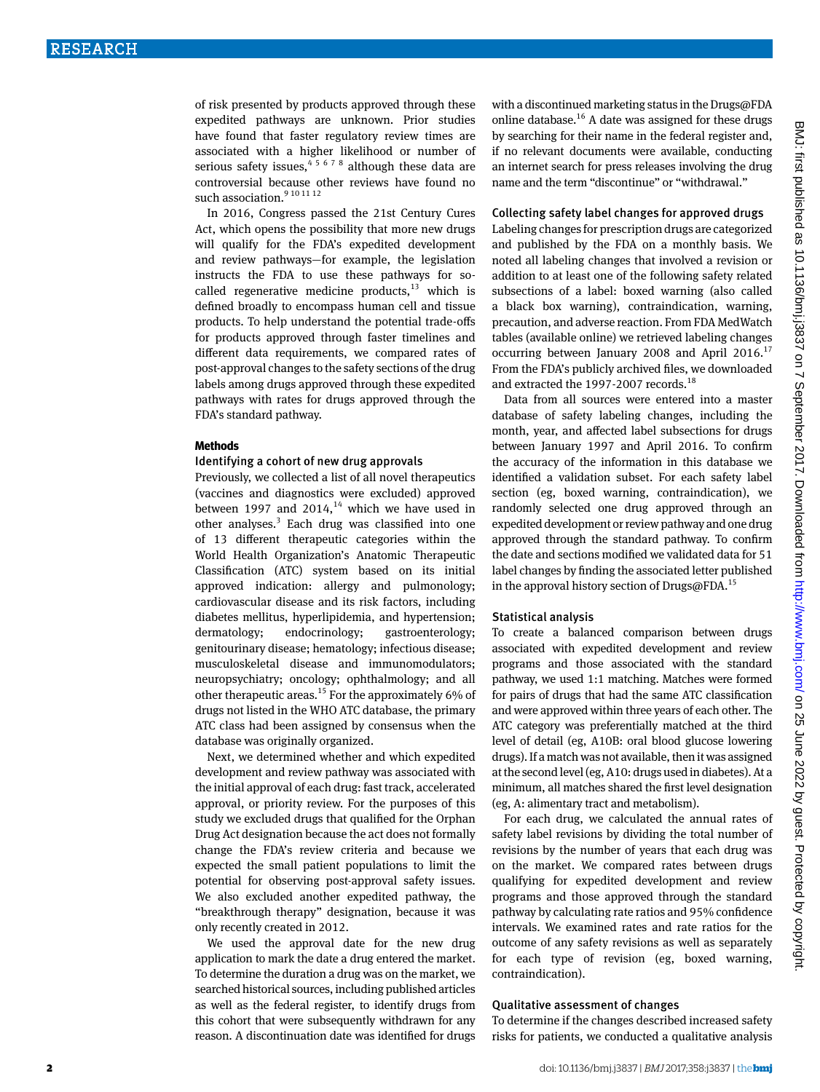of risk presented by products approved through these expedited pathways are unknown. Prior studies have found that faster regulatory review times are associated with a higher likelihood or number of serious safety issues,  $4^{5678}$  although these data are controversial because other reviews have found no such association. $9^{10}$  11 12

In 2016, Congress passed the 21st Century Cures Act, which opens the possibility that more new drugs will qualify for the FDA's expedited development and review pathways—for example, the legislation instructs the FDA to use these pathways for socalled regenerative medicine products,  $13$  which is defined broadly to encompass human cell and tissue products. To help understand the potential trade-offs for products approved through faster timelines and different data requirements, we compared rates of post-approval changes to the safety sections of the drug labels among drugs approved through these expedited pathways with rates for drugs approved through the FDA's standard pathway.

#### **Methods**

#### Identifying a cohort of new drug approvals

Previously, we collected a list of all novel therapeutics (vaccines and diagnostics were excluded) approved between 1997 and  $2014$ ,<sup>14</sup> which we have used in other analyses.<sup>3</sup> Each drug was classified into one of 13 different therapeutic categories within the World Health Organization's Anatomic Therapeutic Classification (ATC) system based on its initial approved indication: allergy and pulmonology; cardiovascular disease and its risk factors, including diabetes mellitus, hyperlipidemia, and hypertension; dermatology; endocrinology; gastroenterology; genitourinary disease; hematology; infectious disease; musculoskeletal disease and immunomodulators; neuropsychiatry; oncology; ophthalmology; and all other therapeutic areas.<sup>15</sup> For the approximately 6% of drugs not listed in the WHO ATC database, the primary ATC class had been assigned by consensus when the database was originally organized.

Next, we determined whether and which expedited development and review pathway was associated with the initial approval of each drug: fast track, accelerated approval, or priority review. For the purposes of this study we excluded drugs that qualified for the Orphan Drug Act designation because the act does not formally change the FDA's review criteria and because we expected the small patient populations to limit the potential for observing post-approval safety issues. We also excluded another expedited pathway, the "breakthrough therapy" designation, because it was only recently created in 2012.

We used the approval date for the new drug application to mark the date a drug entered the market. To determine the duration a drug was on the market, we searched historical sources, including published articles as well as the federal register, to identify drugs from this cohort that were subsequently withdrawn for any reason. A discontinuation date was identified for drugs with a discontinued marketing status in the Drugs@FDA online database.<sup>16</sup> A date was assigned for these drugs by searching for their name in the federal register and, if no relevant documents were available, conducting an internet search for press releases involving the drug name and the term "discontinue" or "withdrawal."

#### Collecting safety label changes for approved drugs

Labeling changes for prescription drugs are categorized and published by the FDA on a monthly basis. We noted all labeling changes that involved a revision or addition to at least one of the following safety related subsections of a label: boxed warning (also called a black box warning), contraindication, warning, precaution, and adverse reaction. From FDA MedWatch tables (available online) we retrieved labeling changes occurring between January 2008 and April 2016. $^{17}$ From the FDA's publicly archived files, we downloaded and extracted the 1997-2007 records.<sup>18</sup>

Data from all sources were entered into a master database of safety labeling changes, including the month, year, and affected label subsections for drugs between January 1997 and April 2016. To confirm the accuracy of the information in this database we identified a validation subset. For each safety label section (eg, boxed warning, contraindication), we randomly selected one drug approved through an expedited development or review pathway and one drug approved through the standard pathway. To confirm the date and sections modified we validated data for 51 label changes by finding the associated letter published in the approval history section of Drugs@FDA.<sup>15</sup>

## Statistical analysis

To create a balanced comparison between drugs associated with expedited development and review programs and those associated with the standard pathway, we used 1:1 matching. Matches were formed for pairs of drugs that had the same ATC classification and were approved within three years of each other. The ATC category was preferentially matched at the third level of detail (eg, A10B: oral blood glucose lowering drugs). If a match was not available, then it was assigned at the second level (eg, A10: drugs used in diabetes). At a minimum, all matches shared the first level designation (eg, A: alimentary tract and metabolism).

For each drug, we calculated the annual rates of safety label revisions by dividing the total number of revisions by the number of years that each drug was on the market. We compared rates between drugs qualifying for expedited development and review programs and those approved through the standard pathway by calculating rate ratios and 95% confidence intervals. We examined rates and rate ratios for the outcome of any safety revisions as well as separately for each type of revision (eg, boxed warning, contraindication).

## Qualitative assessment of changes

To determine if the changes described increased safety risks for patients, we conducted a qualitative analysis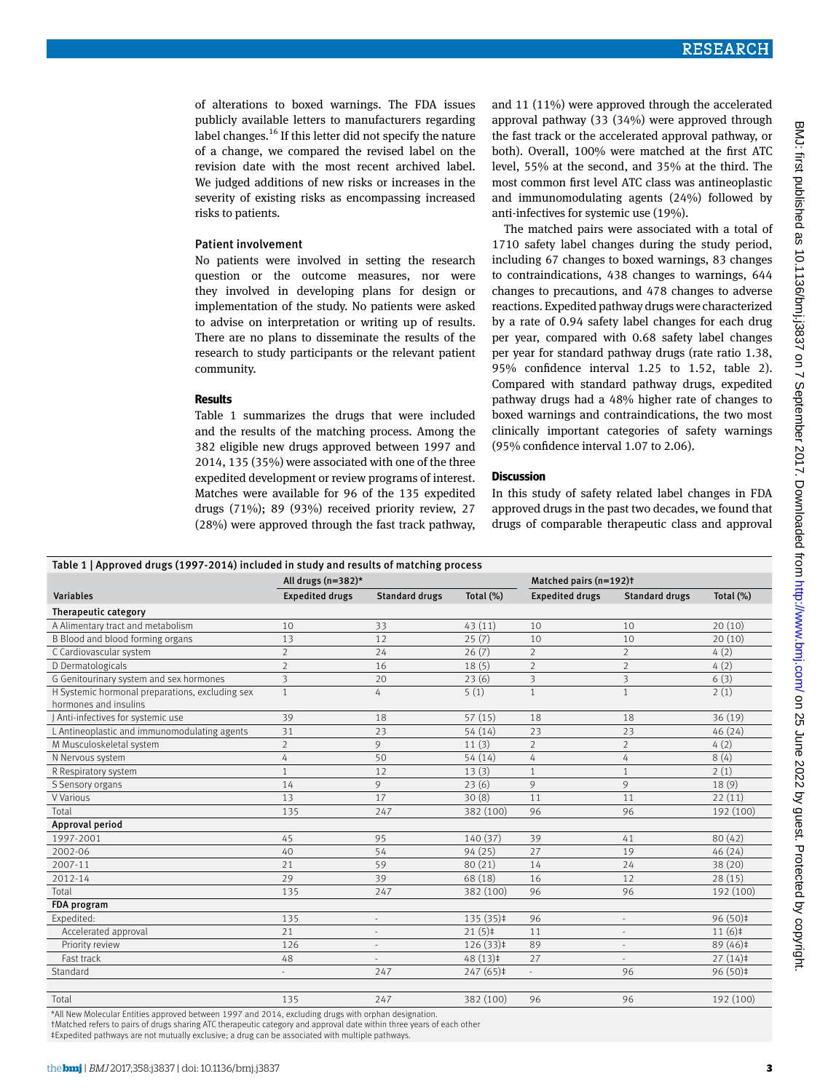of alterations to boxed warnings. The FDA issues publicly available letters to manufacturers regarding label changes.<sup>16</sup> If this letter did not specify the nature of a change, we compared the revised label on the revision date with the most recent archived label. We judged additions of new risks or increases in the severity of existing risks as encompassing increased risks to patients.

#### Patient involvement

No patients were involved in setting the research question or the outcome measures, nor were they involved in developing plans for design or implementation of the study. No patients were asked to advise on interpretation or writing up of results. There are no plans to disseminate the results of the research to study participants or the relevant patient community.

#### **Results**

Table 1 summarizes the drugs that were included and the results of the matching process. Among the 382 eligible new drugs approved between 1997 and 2014, 135 (35%) were associated with one of the three expedited development or review programs of interest. Matches were available for 96 of the 135 expedited drugs (71%); 89 (93%) received priority review, 27 (28%) were approved through the fast track pathway, and 11 (11%) were approved through the accelerated approval pathway (33 (34%) were approved through the fast track or the accelerated approval pathway, or both). Overall, 100% were matched at the first ATC level, 55% at the second, and 35% at the third. The most common first level ATC class was antineoplastic and immunomodulating agents (24%) followed by anti-infectives for systemic use (19%).

The matched pairs were associated with a total of 1710 safety label changes during the study period, including 67 changes to boxed warnings, 83 changes to contraindications, 438 changes to warnings, 644 changes to precautions, and 478 changes to adverse reactions. Expedited pathway drugs were characterized by a rate of 0.94 safety label changes for each drug per year, compared with 0.68 safety label changes per year for standard pathway drugs (rate ratio 1.38, 95% confidence interval 1.25 to 1.52, table 2). Compared with standard pathway drugs, expedited pathway drugs had a 48% higher rate of changes to boxed warnings and contraindications, the two most clinically important categories of safety warnings (95% confidence interval 1.07 to 2.06).

#### **Discussion**

In this study of safety related label changes in FDA approved drugs in the past two decades, we found that drugs of comparable therapeutic class and approval

| Table 1   Approved drugs (1997-2014) included in study and results of matching process |                         |                                 |                   |                         |                         |              |  |
|----------------------------------------------------------------------------------------|-------------------------|---------------------------------|-------------------|-------------------------|-------------------------|--------------|--|
|                                                                                        | All drugs (n=382)*      |                                 |                   | Matched pairs (n=192)t  |                         |              |  |
| <b>Variables</b>                                                                       | <b>Expedited drugs</b>  | <b>Standard drugs</b>           | Total $(\%)$      | <b>Expedited drugs</b>  | <b>Standard drugs</b>   | Total $(\%)$ |  |
| Therapeutic category                                                                   |                         |                                 |                   |                         |                         |              |  |
| A Alimentary tract and metabolism                                                      | 10                      | 33                              | 43(11)            | 10                      | 10                      | 20(10)       |  |
| B Blood and blood forming organs                                                       | 13                      | 12                              | 25(7)             | 10                      | 10                      | 20(10)       |  |
| C Cardiovascular system                                                                | $\overline{2}$          | 24                              | 26(7)             | $\overline{2}$          | $\overline{2}$          | 4(2)         |  |
| D Dermatologicals                                                                      | $\overline{2}$          | 16                              | 18(5)             | $\overline{2}$          | $\overline{2}$          | 4(2)         |  |
| G Genitourinary system and sex hormones                                                | $\overline{\mathbf{3}}$ | 20                              | 23(6)             | $\overline{\mathbf{3}}$ | $\overline{\mathbf{3}}$ | 6(3)         |  |
| H Systemic hormonal preparations, excluding sex<br>hormones and insulins               | $\mathbf{1}$            | 4                               | 5(1)              | $\mathbf{1}$            | $\mathbf{1}$            | 2(1)         |  |
| J Anti-infectives for systemic use                                                     | 39                      | 18                              | 57(15)            | 18                      | 18                      | 36(19)       |  |
| L Antineoplastic and immunomodulating agents                                           | 31                      | 23                              | 54(14)            | 23                      | 23                      | 46(24)       |  |
| M Musculoskeletal system                                                               | $\overline{2}$          | 9                               | 11(3)             | $\overline{2}$          | $\overline{2}$          | 4(2)         |  |
| N Nervous system                                                                       | 4                       | 50                              | 54 (14)           | 4                       | 4                       | 8(4)         |  |
| R Respiratory system                                                                   | $\mathbf{1}$            | 12                              | 13(3)             | $\mathbf{1}$            | $\mathbf{1}$            | 2(1)         |  |
| S Sensory organs                                                                       | 14                      | 9                               | 23(6)             | 9                       | 9                       | 18(9)        |  |
| V Various                                                                              | 13                      | 17                              | 30(8)             | 11                      | 11                      | 22(11)       |  |
| Total                                                                                  | 135                     | 247                             | 382 (100)         | 96                      | 96                      | 192 (100)    |  |
| Approval period                                                                        |                         |                                 |                   |                         |                         |              |  |
| 1997-2001                                                                              | 45                      | 95                              | 140 (37)          | 39                      | 41                      | 80(42)       |  |
| 2002-06                                                                                | 40                      | 54                              | 94(25)            | 27                      | 19                      | 46(24)       |  |
| 2007-11                                                                                | 21                      | 59                              | 80 (21)           | 14                      | 24                      | 38 (20)      |  |
| 2012-14                                                                                | 29                      | 39                              | 68 (18)           | 16                      | 12                      | 28(15)       |  |
| Total                                                                                  | 135                     | 247                             | 382 (100)         | 96                      | 96                      | 192 (100)    |  |
| <b>FDA</b> program                                                                     |                         |                                 |                   |                         |                         |              |  |
| Expedited:                                                                             | 135                     | $\centering \label{eq:reduced}$ | $135(35)$ ‡       | 96                      |                         | 96 (50)‡     |  |
| Accelerated approval                                                                   | 21                      | $\qquad \qquad \blacksquare$    | $21(5)$ ‡         | 11                      |                         | 11(6)        |  |
| Priority review                                                                        | 126                     | ÷,                              | $126(33)\ddagger$ | 89                      |                         | 89 (46) ‡    |  |
| Fast track                                                                             | 48                      | $\bar{ }$                       | $48(13)\pm$       | 27                      |                         | $27(14)$ ‡   |  |
| Standard                                                                               |                         | 247                             | $247(65)$ ‡       | ÷,                      | 96                      | 96 (50)‡     |  |
|                                                                                        |                         |                                 |                   |                         |                         |              |  |
| Total                                                                                  | 135                     | 247                             | 382 (100)         | 96                      | 96                      | 192 (100)    |  |

\*All New Molecular Entities approved between 1997 and 2014, excluding drugs with orphan designation.

†Matched refers to pairs of drugs sharing ATC therapeutic category and approval date within three years of each other

‡Expedited pathways are not mutually exclusive; a drug can be associated with multiple pathways.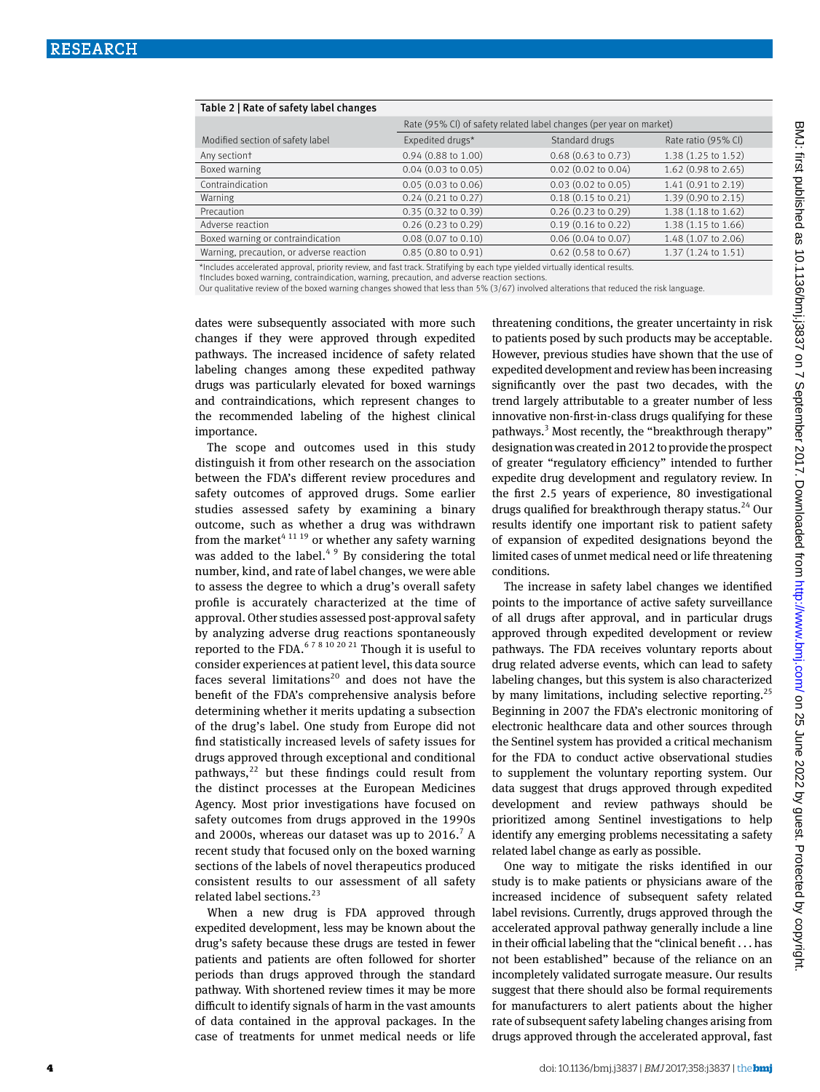| Table 2   Rate of safety label changes                                                                                         |                                                                    |                               |                               |  |  |  |  |
|--------------------------------------------------------------------------------------------------------------------------------|--------------------------------------------------------------------|-------------------------------|-------------------------------|--|--|--|--|
|                                                                                                                                | Rate (95% CI) of safety related label changes (per year on market) |                               |                               |  |  |  |  |
| Modified section of safety label                                                                                               | Expedited drugs*                                                   | Standard drugs                | Rate ratio (95% CI)           |  |  |  |  |
| Any sectiont                                                                                                                   | $0.94$ (0.88 to 1.00)                                              | $0.68$ (0.63 to 0.73)         | $1.38(1.25 \text{ to } 1.52)$ |  |  |  |  |
| Boxed warning                                                                                                                  | $0.04$ (0.03 to 0.05)                                              | $0.02$ (0.02 to 0.04)         | $1.62$ (0.98 to 2.65)         |  |  |  |  |
| Contraindication                                                                                                               | 0.05(0.03 to 0.06)                                                 | $0.03(0.02 \text{ to } 0.05)$ | 1.41 (0.91 to 2.19)           |  |  |  |  |
| Warning                                                                                                                        | $0.24$ $(0.21$ to $0.27)$                                          | $0.18(0.15 \text{ to } 0.21)$ | 1.39 (0.90 to 2.15)           |  |  |  |  |
| Precaution                                                                                                                     | $0.35(0.32 \text{ to } 0.39)$                                      | 0.26(0.23 to 0.29)            | 1.38 (1.18 to 1.62)           |  |  |  |  |
| Adverse reaction                                                                                                               | $0.26$ $(0.23$ to $0.29)$                                          | $0.19$ (0.16 to 0.22)         | 1.38 (1.15 to 1.66)           |  |  |  |  |
| Boxed warning or contraindication                                                                                              | $0.08$ (0.07 to 0.10)                                              | $0.06$ (0.04 to 0.07)         | 1.48 (1.07 to 2.06)           |  |  |  |  |
| Warning, precaution, or adverse reaction                                                                                       | $0.85(0.80 \text{ to } 0.91)$                                      | $0.62$ (0.58 to 0.67)         | 1.37 (1.24 to 1.51)           |  |  |  |  |
| *Includes accelerated approval, priority review, and fast track. Stratifying by each type yielded virtually identical results. |                                                                    |                               |                               |  |  |  |  |

†Includes boxed warning, contraindication, warning, precaution, and adverse reaction sections.

Our qualitative review of the boxed warning changes showed that less than 5% (3/67) involved alterations that reduced the risk language.

dates were subsequently associated with more such changes if they were approved through expedited pathways. The increased incidence of safety related labeling changes among these expedited pathway drugs was particularly elevated for boxed warnings and contraindications, which represent changes to the recommended labeling of the highest clinical importance.

The scope and outcomes used in this study distinguish it from other research on the association between the FDA's different review procedures and safety outcomes of approved drugs. Some earlier studies assessed safety by examining a binary outcome, such as whether a drug was withdrawn from the market<sup> $41119$ </sup> or whether any safety warning was added to the label. $49$  By considering the total number, kind, and rate of label changes, we were able to assess the degree to which a drug's overall safety profile is accurately characterized at the time of approval. Other studies assessed post-approval safety by analyzing adverse drug reactions spontaneously reported to the FDA.<sup>6 7 8 10 20 21</sup> Though it is useful to consider experiences at patient level, this data source faces several limitations<sup>20</sup> and does not have the benefit of the FDA's comprehensive analysis before determining whether it merits updating a subsection of the drug's label. One study from Europe did not find statistically increased levels of safety issues for drugs approved through exceptional and conditional pathways, $^{22}$  but these findings could result from the distinct processes at the European Medicines Agency. Most prior investigations have focused on safety outcomes from drugs approved in the 1990s and 2000s, whereas our dataset was up to  $2016$ .<sup>7</sup> A recent study that focused only on the boxed warning sections of the labels of novel therapeutics produced consistent results to our assessment of all safety related label sections.<sup>23</sup>

When a new drug is FDA approved through expedited development, less may be known about the drug's safety because these drugs are tested in fewer patients and patients are often followed for shorter periods than drugs approved through the standard pathway. With shortened review times it may be more difficult to identify signals of harm in the vast amounts of data contained in the approval packages. In the case of treatments for unmet medical needs or life threatening conditions, the greater uncertainty in risk to patients posed by such products may be acceptable. However, previous studies have shown that the use of expedited development and review has been increasing significantly over the past two decades, with the trend largely attributable to a greater number of less innovative non-first-in-class drugs qualifying for these pathways.<sup>3</sup> Most recently, the "breakthrough therapy" designation was created in 2012 to provide the prospect of greater "regulatory efficiency" intended to further expedite drug development and regulatory review. In the first 2.5 years of experience, 80 investigational drugs qualified for breakthrough therapy status.<sup>24</sup> Our results identify one important risk to patient safety of expansion of expedited designations beyond the limited cases of unmet medical need or life threatening conditions.

The increase in safety label changes we identified points to the importance of active safety surveillance of all drugs after approval, and in particular drugs approved through expedited development or review pathways. The FDA receives voluntary reports about drug related adverse events, which can lead to safety labeling changes, but this system is also characterized by many limitations, including selective reporting.<sup>25</sup> Beginning in 2007 the FDA's electronic monitoring of electronic healthcare data and other sources through the Sentinel system has provided a critical mechanism for the FDA to conduct active observational studies to supplement the voluntary reporting system. Our data suggest that drugs approved through expedited development and review pathways should be prioritized among Sentinel investigations to help identify any emerging problems necessitating a safety related label change as early as possible.

One way to mitigate the risks identified in our study is to make patients or physicians aware of the increased incidence of subsequent safety related label revisions. Currently, drugs approved through the accelerated approval pathway generally include a line in their official labeling that the "clinical benefit . . . has not been established" because of the reliance on an incompletely validated surrogate measure. Our results suggest that there should also be formal requirements for manufacturers to alert patients about the higher rate of subsequent safety labeling changes arising from drugs approved through the accelerated approval, fast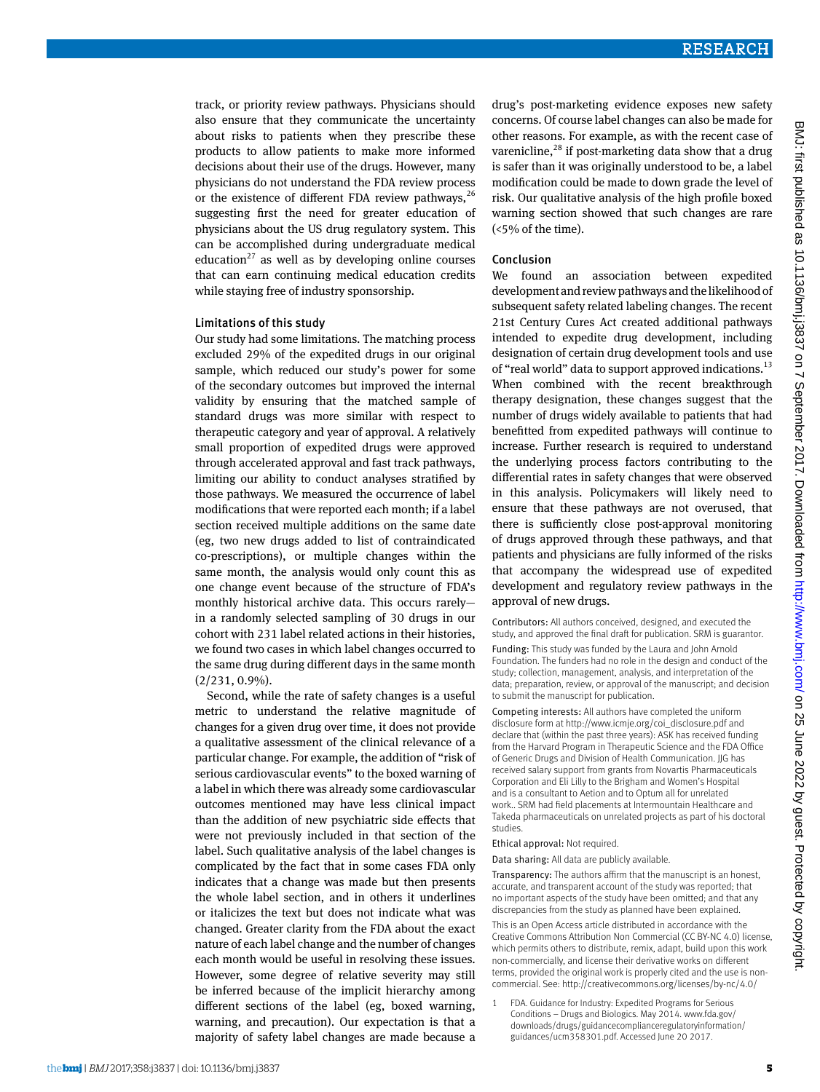track, or priority review pathways. Physicians should also ensure that they communicate the uncertainty about risks to patients when they prescribe these products to allow patients to make more informed decisions about their use of the drugs. However, many physicians do not understand the FDA review process or the existence of different FDA review pathways,  $26$ suggesting first the need for greater education of physicians about the US drug regulatory system. This can be accomplished during undergraduate medical education<sup>27</sup> as well as by developing online courses that can earn continuing medical education credits while staying free of industry sponsorship.

#### Limitations of this study

Our study had some limitations. The matching process excluded 29% of the expedited drugs in our original sample, which reduced our study's power for some of the secondary outcomes but improved the internal validity by ensuring that the matched sample of standard drugs was more similar with respect to therapeutic category and year of approval. A relatively small proportion of expedited drugs were approved through accelerated approval and fast track pathways, limiting our ability to conduct analyses stratified by those pathways. We measured the occurrence of label modifications that were reported each month; if a label section received multiple additions on the same date (eg, two new drugs added to list of contraindicated co-prescriptions), or multiple changes within the same month, the analysis would only count this as one change event because of the structure of FDA's monthly historical archive data. This occurs rarely in a randomly selected sampling of 30 drugs in our cohort with 231 label related actions in their histories, we found two cases in which label changes occurred to the same drug during different days in the same month (2/231, 0.9%).

Second, while the rate of safety changes is a useful metric to understand the relative magnitude of changes for a given drug over time, it does not provide a qualitative assessment of the clinical relevance of a particular change. For example, the addition of "risk of serious cardiovascular events" to the boxed warning of a label in which there was already some cardiovascular outcomes mentioned may have less clinical impact than the addition of new psychiatric side effects that were not previously included in that section of the label. Such qualitative analysis of the label changes is complicated by the fact that in some cases FDA only indicates that a change was made but then presents the whole label section, and in others it underlines or italicizes the text but does not indicate what was changed. Greater clarity from the FDA about the exact nature of each label change and the number of changes each month would be useful in resolving these issues. However, some degree of relative severity may still be inferred because of the implicit hierarchy among different sections of the label (eg, boxed warning, warning, and precaution). Our expectation is that a majority of safety label changes are made because a

drug's post-marketing evidence exposes new safety concerns. Of course label changes can also be made for other reasons. For example, as with the recent case of varenicline, $^{28}$  if post-marketing data show that a drug is safer than it was originally understood to be, a label modification could be made to down grade the level of risk. Our qualitative analysis of the high profile boxed warning section showed that such changes are rare (<5% of the time).

#### Conclusion

We found an association between expedited development and review pathways and the likelihood of subsequent safety related labeling changes. The recent 21st Century Cures Act created additional pathways intended to expedite drug development, including designation of certain drug development tools and use of "real world" data to support approved indications.<sup>13</sup> When combined with the recent breakthrough therapy designation, these changes suggest that the number of drugs widely available to patients that had benefitted from expedited pathways will continue to increase. Further research is required to understand the underlying process factors contributing to the differential rates in safety changes that were observed in this analysis. Policymakers will likely need to ensure that these pathways are not overused, that there is sufficiently close post-approval monitoring of drugs approved through these pathways, and that patients and physicians are fully informed of the risks that accompany the widespread use of expedited development and regulatory review pathways in the approval of new drugs.

Contributors: All authors conceived, designed, and executed the study, and approved the final draft for publication. SRM is guarantor.

Funding: This study was funded by the Laura and John Arnold Foundation. The funders had no role in the design and conduct of the study; collection, management, analysis, and interpretation of the data; preparation, review, or approval of the manuscript; and decision to submit the manuscript for publication.

Competing interests: All authors have completed the uniform disclosure form at [http://www.icmje.org/coi\\_disclosure.pdf](http://www.icmje.org/coi_disclosure.pdf) and declare that (within the past three years): ASK has received funding from the Harvard Program in Therapeutic Science and the FDA Office of Generic Drugs and Division of Health Communication. JJG has received salary support from grants from Novartis Pharmaceuticals Corporation and Eli Lilly to the Brigham and Women's Hospital and is a consultant to Aetion and to Optum all for unrelated work.. SRM had field placements at Intermountain Healthcare and Takeda pharmaceuticals on unrelated projects as part of his doctoral studies.

Ethical approval: Not required.

Data sharing: All data are publicly available.

Transparency: The authors affirm that the manuscript is an honest, accurate, and transparent account of the study was reported; that no important aspects of the study have been omitted; and that any discrepancies from the study as planned have been explained.

This is an Open Access article distributed in accordance with the Creative Commons Attribution Non Commercial (CC BY-NC 4.0) license, which permits others to distribute, remix, adapt, build upon this work non-commercially, and license their derivative works on different terms, provided the original work is properly cited and the use is noncommercial. See: http://creativecommons.org/licenses/by-nc/4.0/

1 FDA. Guidance for Industry: Expedited Programs for Serious Conditions – Drugs and Biologics. May 2014. [www.fda.gov/](http://www.fda.gov/downloads/drugs/guidancecomplianceregulatoryinformation/guidances/ucm358301.pdf) [downloads/drugs/guidancecomplianceregulatoryinformation/](http://www.fda.gov/downloads/drugs/guidancecomplianceregulatoryinformation/guidances/ucm358301.pdf) [guidances/ucm358301.pdf.](http://www.fda.gov/downloads/drugs/guidancecomplianceregulatoryinformation/guidances/ucm358301.pdf) Accessed June 20 2017.